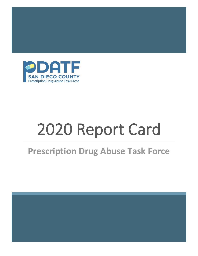

# 2020 Report Card

# **Prescription Drug Abuse Task Force**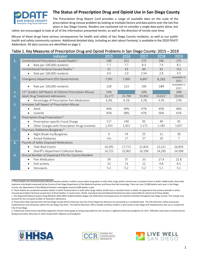

## **The Status of Prescription Drug and Opioid Use in San Diego County**

The Prescription Drug Report Card provides a range of available data on the scale of the prescription drug misuse problem by looking at multiple factors and data points over the last five years in San Diego County. Readers are cautioned not to consider a single data point alone, but

rather are encouraged to look at all of the information presented herein, as well as the direction of trends over time.

Misuse of these drugs have serious consequences for health and safety of San Diego County residents, as well as our public health and safety community systems. Additional detailed data, including an alert about Fentanyl, is available in the 2020 PDATF Addendum. All data sources are identified on page 2.

### Table 1. Key Measures of Prescription Drug and Opioid Problems in San Diego County: 2015 – 2019

|    | Indicator                                                            | 2015   | 2016   | 2017   | 2018             | 2019                 |
|----|----------------------------------------------------------------------|--------|--------|--------|------------------|----------------------|
| 1. | Unintentional Prescription-Caused Deaths <sup>a</sup>                | 248    | 253    | 273    | 246              | 275                  |
|    | Rate per 100,000 residents                                           | 7.7    | 7.7    | 8.3    | 7.4              | 8.2                  |
|    | Unintentional Fentanyl-Caused Deaths b                               | 21     | 33     | 84     | 92               | 151                  |
|    | Rate per 100,000 residents<br>$\bullet$                              | 0.6    | 1.0    | 2.54   | 2.8              | 4.5                  |
| 2. | Emergency Department (ED) Opioid Activity                            | 7,501  | 7,005  | 6,607  | 6,162            | Available in<br>2021 |
|    | Rate per 100,000 residents                                           | 228    | 213    | 199    | 184              | Available in<br>2021 |
| 3. | 11 <sup>th</sup> Graders Self Report of Lifetime Prescription Misuse | 14%    |        | 10%    |                  | 10%                  |
| 4. | <b>Adult Drug Treatment Admissions</b>                               | 15,177 | 15,790 | 15,952 | $23,022^{\circ}$ | 19,910               |
|    | Percentage of Prescription Pain Medication                           | 4.3%   | 4.1%   | 3.2%   | 4.2%             | 2.9%                 |
| 5. | Arrestees Self Report of Prescription Misuse                         |        |        |        |                  |                      |
|    | Adult<br>$\bullet$                                                   | 44%    | 49%    | 47%    | 45%              | 46%                  |
|    | Juvenile<br>$\bullet$                                                | 43%    | 38%    | 47%    | 56%              | 41%                  |
| 6. | Prescription Drug Prosecutions <sup>d</sup>                          |        |        |        |                  |                      |
|    | Prescription-specific Fraud Charge<br>$\bullet$                      | 117    | 140    | 95     | 49               | 45                   |
|    | Other Charges with Prescription-Drugs Involved<br>$\bullet$          | 1,353  | 1,422  | 1,172  | 1,182            | 1,057                |
| 7. | Pharmacy Robberies/Burglaries <sup>e</sup>                           |        |        |        |                  |                      |
|    | Night Break-Ins/Burglaries<br>$\bullet$                              | 6      | 14     | 25     | 11               | 18                   |
|    | Armed Robberies<br>$\bullet$                                         | n/a    | 17     | 27     | 10               | 7                    |
| 8. | Pounds of Safely Disposed Medications                                |        |        |        |                  |                      |
|    | Take Back Events<br>$\bullet$                                        | 14,595 | 17,772 | 21,824 | 22,221           | 26,859               |
|    | Sheriff's Department Collection Boxes<br>$\bullet$                   | 14,725 | 15,901 | 16,199 | 14,295           | 14,398               |
| 9. | Annual Number of Dispensed Pills Per County Resident                 |        |        |        |                  |                      |
|    | Pain Medication<br>$\bullet$                                         | 39     | 37     | 33     | 27.4             | 22.8                 |
|    | Anti-anxiety<br>$\bullet$                                            | 13     | 13     | 12     | 9.8              | 8.5                  |
|    | Stimulants<br>$\bullet$                                              | 5.2    | 5.2    | 5.2    | 5.1              | 5.1                  |

a. These deaths are unintentional/accidental overdose deaths in which a prescription drug alone or with other drugs and/or alcohol was a causative factor in death. Additionally, these data represent only deaths examined by the County of San Diego Department of the Medical Examiner and those that had toxicology. There are over 22,000 deaths each year in San Diego County, the Department of the Medical Examiner investigates around 3,000 deaths a year.

b. These deaths are accidental overdose deaths in which fentanyl alone or with other drugs and/or alcohol was a causative factor in death. As opposed to the previous decade in which misused prescription fentanyl caused most of these deaths, in recent years, illicitly manufactured and obtained fentanyl has been responsible for almost all of these deaths.







c. The Organized Delivery System Drug-MediCAL (ODS-DMC) implementation began July 2018 which increased access to treatment facilities throughout San Diego County. This change may account for the increased number of treatment admissions.

d. Prosecution data reported from the San Diego County District Attorney and City of San Diego City Attorney are presented as a combined total. The City Attorney's office prosecutes misdemeanors and infractions within the San Diego City limits. The District Attorney's office handles all felony matters in the County of San Diego and misdemeanors that occur outside the City of San Diego.

e. Federal law enforcement identified organized criminal street gangs as being responsible for the increase in nighttime pharmacy burglaries for 2017. Offenders have been arrested and are being prosecuted. Data prior to 2016 include both robberies and burglaries.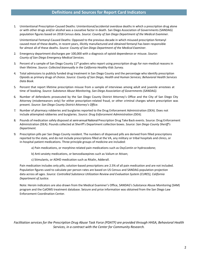1. Unintentional Prescription-Caused Deaths: Unintentional/accidental overdose deaths in which a prescription drug alone or with other drugs and/or alcohol was a causative factor in death. San Diego Association of Governments (SANDAG) population figures based on 2018 Census data. *Source: County of San Diego Department of the Medical Examiner.*

Unintentional Fentanyl-Caused Deaths: Opposed to the previous decade in which misused prescription fentanyl caused most of these deaths, in recent years, illicitly manufactured and obtained fentanyl has been responsible for almost all of these deaths. *Source: County of San Diego Department of the Medical Examiner.*

- 2. Emergency department discharges per 100,000 with a diagnosis of opioid dependence or misuse. *Source: County of San Diego Emergency Medical Services.*
- 3. Percent of a sample of San Diego County 11<sup>th</sup> graders who report using prescription drugs for non-medical reasons in their lifetime. *Source: Collected biannually in the California Healthy Kids Survey.*
- 4. Total admissions to publicly funded drug treatment in San Diego County and the percentage who identify prescription Opioids as primary drugs of choice. *Source: County of San Diego, Health and Human Services; Behavioral Health Services Data Book.*
- 5. Percent that report lifetime prescription misuse from a sample of interviews among adult and juvenile arrestees at time of booking. *Source: Substance Abuse Monitoring, San Diego Association of Governments (SANDAG).*
- 6. Number of defendants prosecuted by the San Diego County District Attorney's Office and the City of San Diego City Attorney (misdemeanors only) for either prescription-related fraud, or other criminal charges where prescription was present. *Source: San Diego County District Attorney's Office.*
- 7. Number of pharmacy robberies and burglaries reported to the Drug Enforcement Administration (DEA). Does not include attempted robberies and burglaries. *Source: Drug Enforcement Administration (DEA).*
- 8. Pounds of medication safely disposed at semi-annual National Prescription Drug Take Back events. Source: Drug Enforcement Administration (DEA). Pounds collected at Sheriff's Department collection boxes. *Source: San Diego County Sheriff's Department.*
- 9. Prescription pills per San Diego County resident. The numbers of dispensed pills are derived from filled prescriptions reported to the state, and do not include prescriptions filled at the VA, any military or tribal hospitals and clinics, or in-hospital patient medications. Three principle groups of medicine are included:
	- a) Pain medications, or morphine-related pain medications such as OxyContin or hydrocodone;
	- b) Anti-anxiety medications, or benzodiazepines such as Valium or Ativan;
	- c) Stimulants, or ADHD medication such as Ritalin, Adderall.

Pain medication includes only pills; solution-based prescriptions are 2.5% of all pain medication and are not included. Population figures used to calculate per person rates are based on US Census and SANDAG population projection data across all ages. *Source: Controlled Substance Utilization Review and Evaluation System (CURES), California Department of Justice.*

Note: Heroin indicators are also drawn from the Medical Examiner's Office, SANDAG's Substance Abuse Monitoring (SAM) program and the CalOMS treatment database. Seizure and price information was obtained from the San Diego Law Enforcement Coordination Center.

*Facilitation services for the Prescription Drug Abuse Task Force (PDATF) are provided through HHSA, Behavioral Health Services, in a contract with the Center for Community Research.*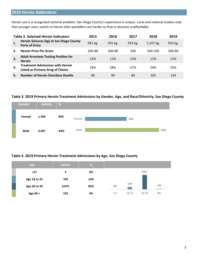# **2019 Heroin Addendum**

Heroin use is a recognized national problem. San Diego County's experience is unique. Local and national studies note that younger users switch to heroin after painkillers are harder to find or become unaffordable.

|    | <b>Table 2. Selected Heroin Indicators</b>                                         | 2015    | 2016    | 2017    | 2018      | 2019    |
|----|------------------------------------------------------------------------------------|---------|---------|---------|-----------|---------|
|    | Heroin Seizures (kg) at San Diego County<br><b>Ports of Entry</b>                  | 941 kg. | 591 kg. | 933 kg. | 1,247 kg. | 924 kg. |
|    | <b>Heroin Price Per Gram</b>                                                       | \$40-80 | \$40-80 | \$40    | $$40-100$ | \$40-80 |
| 3. | <b>Adult Arrestees Testing Positive for</b><br><b>Heroin</b>                       | 12%     | 11%     | 13%     | 11%       | 12%     |
| 4. | <b>Treatment Admissions with Heroin</b><br><b>Listed as Primary Drug of Choice</b> | 29%     | 28%     | 27%     | 29%       | 25%     |
|    | <b>Number of Heroin Overdose Deaths</b>                                            | 90      | 90      | 83      | 105       | 124     |

#### **Table 3. 2019 Primary Heroin Treatment Admissions by Gender, Age, and Race/Ethnicity, San Diego County**



#### **Table 4. 2019 Primary Heroin Treatment Admissions by Age, San Diego County**

| Age          | <b>Admits</b> | $\frac{9}{6}$ |     |       |           |       |
|--------------|---------------|---------------|-----|-------|-----------|-------|
| $17$         | 4             | 0%            |     |       | 82%       |       |
| Age 18 to 25 | 702           | 14%           |     |       |           |       |
| Age 26 to 59 | 4,075         | 82%           | 0%  | 14%   |           | 4%    |
| Age 60 +     | 192           | 4%            | <17 | 18-25 | $26 - 59$ | $60+$ |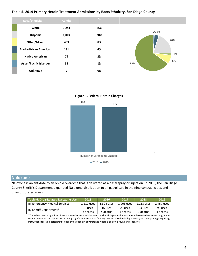#### **Table 5. 2019 Primary Heroin Treatment Admissions by Race/Ethnicity, San Diego County**



**Figure 1. Federal Heroin Charges**



#### **Naloxone**

Naloxone is an antidote to an opioid overdose that is delivered as a nasal spray or injection. In 2015, the San Diego County Sheriff's Department expanded Naloxone distribution to all patrol cars in the nine contract cities and unincorporated areas.

| Table 6. Drug-Related Naloxone Use | 2015       | 2016       | 2017       | 2018       | 2019       |
|------------------------------------|------------|------------|------------|------------|------------|
| By Emergency Medical Services      | 1,210 uses | 1.304 uses | 1.903 uses | 2.113 uses | 2,457 uses |
| By Sheriff Department*             | 13 uses    | 16 uses    | 26 uses    | 23 uses    | 98 uses    |
|                                    | 2 deaths   | 4 deaths   | 4 deaths   | 3 deaths   | 4 deaths   |

\*There has been a significant increase in naloxone administration by sheriff deputies due to a more developed naloxone program in response to increased opiate use including significant increases in fentanyl use; increased field deployment; and policy change regarding instructions for jail medical staff to deploy naloxone in any instance where a person is found unresponsive.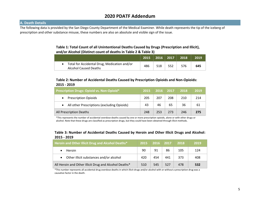# **2020 PDATF Addendum**

#### **A. Death Details**

The following data is provided by the San Diego County Department of the Medical Examiner. While death represents the tip of the iceberg of prescription and other substance misuse, these numbers are also an absolute and visible sign of the issue.

#### **Table 1: Total Count of all Unintentional Deaths Caused by Drugs (Prescription and Illicit), and/or Alcohol (Distinct count of deaths in Table 2 & Table 3)**

|                                                                         | 2015 | $\vert$ 2016 $\vert$ 2017 $\vert$ |     | 2018 | 2019 |
|-------------------------------------------------------------------------|------|-----------------------------------|-----|------|------|
| • Total for Accidental Drug, Medication and/or<br>Alcohol Caused Deaths | 486  | 518                               | 552 | 576  | 645  |

#### **Table 2: Number of Accidental Deaths Caused by Prescription Opioids and Non-Opioids: 2015 - 2019**

| Prescription Drugs: Opioid vs. Non-Opioid*1 | 2015 | 2016 | 2017 | 2018 | 2019 |
|---------------------------------------------|------|------|------|------|------|
| <b>Prescription Opioids</b>                 | 205  | 207  | 208  | 210  | 214  |
| All other Prescriptions (excluding Opioids) | 43   | 46   | 65   | 36   | 61   |
| All Prescription Deaths                     | 248  | 253  | 273  | 246  | 275  |

\*This represents the number of accidental overdose deaths caused by one or more prescription opioids, alone or with other drugs or alcohol. Note that these drugs are classified as prescription drugs, but they could have been obtained through illicit methods.

#### **Table 3: Number of Accidental Deaths Caused by Heroin and Other Illicit Drugs and Alcohol: 2015 - 201912**

| <b>Heroin and Other Illicit Drug and Alcohol Deaths*</b> | 2015 | 2016 | 2017 | 2018 | 2019 |
|----------------------------------------------------------|------|------|------|------|------|
| <b>Heroin</b>                                            | 90   | 91   | 86   | 105  | 124  |
| Other illicit substances and/or alcohol                  | 420  | 454  | 441  | 373  | 408  |
| All Heroin and Other Illicit Drug and Alcohol Deaths*    | 510  | 545  | 527  | 478  | 532  |

\*This number represents all accidental drug overdose deaths in which illicit drugs and/or alcohol with or without a prescription drug was a causative factor in the death.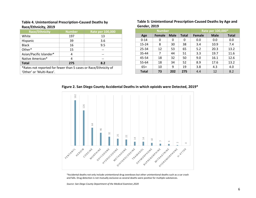#### **Table 4. Unintentional Prescription-Caused Deaths by Race/Ethnicity, 2019**

| <b>Race/Ethnicity</b>                                           | <b>Number</b> | Rate per 100,000 |  |  |  |  |  |  |
|-----------------------------------------------------------------|---------------|------------------|--|--|--|--|--|--|
| White                                                           | 197           | 13               |  |  |  |  |  |  |
| Hispanic                                                        | 39            | 3.6              |  |  |  |  |  |  |
| <b>Black</b>                                                    | 16            | 9.5              |  |  |  |  |  |  |
| Other*                                                          | 15            |                  |  |  |  |  |  |  |
| Asian/Pacific Islander*                                         | 4             |                  |  |  |  |  |  |  |
| Native American*                                                | 4             |                  |  |  |  |  |  |  |
| <b>Total</b><br>275<br>8.2                                      |               |                  |  |  |  |  |  |  |
| *Rates not reported for fewer than 5 cases or Race/Ethnicity of |               |                  |  |  |  |  |  |  |
| 'Other' or 'Multi-Race'.                                        |               |                  |  |  |  |  |  |  |

#### **Table 5: Unintentional Prescription-Caused Deaths by Age and Gender, 2019**

|              | <b>Number</b> |             | Rate per 100,000* |               |             |              |
|--------------|---------------|-------------|-------------------|---------------|-------------|--------------|
| Age          | <b>Female</b> | <b>Male</b> | <b>Total</b>      | <b>Female</b> | <b>Male</b> | <b>Total</b> |
| $0 - 14$     | 0             | 0           | 0                 | 0.0           | 0.0         | 0.0          |
| $15 - 24$    | 8             | 30          | 38                | 3.4           | 10.9        | 7.4          |
| 25-34        | 12            | 53          | 65                | 5.2           | 20.3        | 13.2         |
| 35-44        | 7             | 44          | 51                | 3.3           | 19.7        | 11.6         |
| 45-54        | 18            | 32          | 50                | 9.0           | 16.1        | 12.6         |
| 55-64        | 18            | 34          | 52                | 8.9           | 17.6        | 13.2         |
| $65+$        | 10            | 9           | 19                | 3.8           | 4.3         | 4.0          |
| <b>Total</b> | 73            | 202         | 275               | 4.4           | 12          | 8.2          |

#### **Figure 2. San Diego County Accidental Deaths in which opioids were Detected, 2019\***



\*Accidental deaths not only include unintentional drug overdoses but other unintentional deaths such as a car crash and falls. Drug detection is not mutually exclusive as several deaths were positive for multiple substances.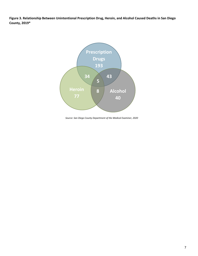**Figure 3. Relationship Between Unintentional Prescription Drug, Heroin, and Alcohol Caused Deaths in San Diego County, 2019\***



*Source: San Diego County Department of the Medical Examiner, 2020*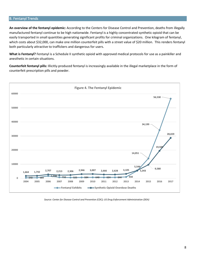#### B. Fentanyl Trends

**An overview of the fentanyl epidemic:** According to the Centers for Disease Control and Prevention, deaths from illegally manufactured fentanyl continue to be high nationwide. Fentanyl is a highly concentrated synthetic opioid that can be easily transported in small quantities generating significant profits for criminal organizations. One kilogram of fentanyl, which costs about \$32,000, can make one million counterfeit pills with a street value of \$20 million. This renders fentanyl both particularly attractive to traffickers and dangerous for users.

**What is Fentanyl?** Fentanyl is a Schedule II synthetic opioid with approved medical protocols for use as a painkiller and anesthetic in certain situations.

**Counterfeit fentanyl pills:** Illicitly-produced fentanyl is increasingly available in the illegal marketplace in the form of counterfeit prescription pills and powder.



*Source: Center for Disease Control and Prevention (CDC); US Drug Enforcement Administration (DEA)*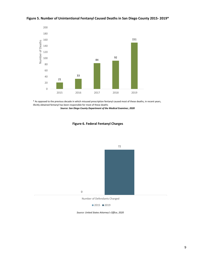

#### **Figure 5. Number of Unintentional Fentanyl Caused Deaths in San Diego County 2015- 2019\***

\* As opposed to the previous decade in which misused prescription fentanyl caused most of these deaths, in recent years, illicitly obtained fentanyl has been responsible for most of these deaths

*Source: San Diego County Department of the Medical Examiner, 2020*



**Figure 6. Federal Fentanyl Charges**

Number of Defendants Charged



*Source: United States Attorney's Office, 2020*